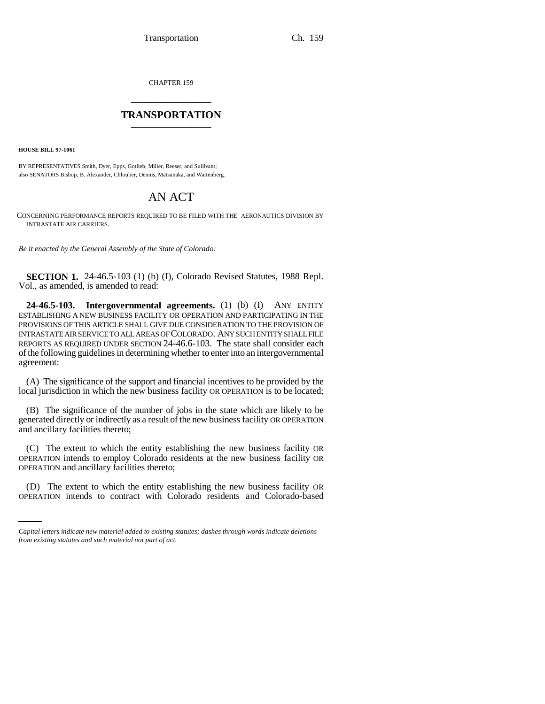CHAPTER 159 \_\_\_\_\_\_\_\_\_\_\_\_\_\_\_

## **TRANSPORTATION** \_\_\_\_\_\_\_\_\_\_\_\_\_\_\_

**HOUSE BILL 97-1061**

BY REPRESENTATIVES Smith, Dyer, Epps, Gotlieb, Miller, Reeser, and Sullivant; also SENATORS Bishop, B. Alexander, Chlouber, Dennis, Matsunaka, and Wattenberg.

# AN ACT

CONCERNING PERFORMANCE REPORTS REQUIRED TO BE FILED WITH THE AERONAUTICS DIVISION BY INTRASTATE AIR CARRIERS.

*Be it enacted by the General Assembly of the State of Colorado:*

**SECTION 1.** 24-46.5-103 (1) (b) (I), Colorado Revised Statutes, 1988 Repl. Vol., as amended, is amended to read:

**24-46.5-103. Intergovernmental agreements.** (1) (b) (I) ANY ENTITY ESTABLISHING A NEW BUSINESS FACILITY OR OPERATION AND PARTICIPATING IN THE PROVISIONS OF THIS ARTICLE SHALL GIVE DUE CONSIDERATION TO THE PROVISION OF INTRASTATE AIR SERVICE TO ALL AREAS OF COLORADO. ANY SUCH ENTITY SHALL FILE REPORTS AS REQUIRED UNDER SECTION 24-46.6-103. The state shall consider each of the following guidelines in determining whether to enter into an intergovernmental agreement:

(A) The significance of the support and financial incentives to be provided by the local jurisdiction in which the new business facility OR OPERATION is to be located;

(B) The significance of the number of jobs in the state which are likely to be generated directly or indirectly as a result of the new business facility OR OPERATION and ancillary facilities thereto;

(C) The extent to which the entity establishing the new business facility OR OPERATION intends to employ Colorado residents at the new business facility OR OPERATION and ancillary facilities thereto;

(D) The extent to which the entity establishing the new business facility OR OPERATION intends to contract with Colorado residents and Colorado-based

*Capital letters indicate new material added to existing statutes; dashes through words indicate deletions from existing statutes and such material not part of act.*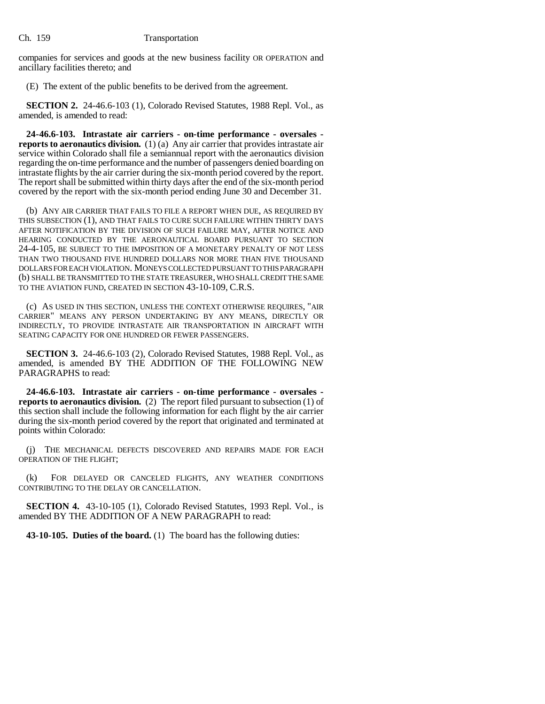companies for services and goods at the new business facility OR OPERATION and ancillary facilities thereto; and

(E) The extent of the public benefits to be derived from the agreement.

**SECTION 2.** 24-46.6-103 (1), Colorado Revised Statutes, 1988 Repl. Vol., as amended, is amended to read:

**24-46.6-103. Intrastate air carriers - on-time performance - oversales reports to aeronautics division.** (1) (a) Any air carrier that provides intrastate air service within Colorado shall file a semiannual report with the aeronautics division regarding the on-time performance and the number of passengers denied boarding on intrastate flights by the air carrier during the six-month period covered by the report. The report shall be submitted within thirty days after the end of the six-month period covered by the report with the six-month period ending June 30 and December 31.

(b) ANY AIR CARRIER THAT FAILS TO FILE A REPORT WHEN DUE, AS REQUIRED BY THIS SUBSECTION (1), AND THAT FAILS TO CURE SUCH FAILURE WITHIN THIRTY DAYS AFTER NOTIFICATION BY THE DIVISION OF SUCH FAILURE MAY, AFTER NOTICE AND HEARING CONDUCTED BY THE AERONAUTICAL BOARD PURSUANT TO SECTION 24-4-105, BE SUBJECT TO THE IMPOSITION OF A MONETARY PENALTY OF NOT LESS THAN TWO THOUSAND FIVE HUNDRED DOLLARS NOR MORE THAN FIVE THOUSAND DOLLARS FOR EACH VIOLATION. MONEYS COLLECTED PURSUANT TO THIS PARAGRAPH (b) SHALL BE TRANSMITTED TO THE STATE TREASURER, WHO SHALL CREDIT THE SAME TO THE AVIATION FUND, CREATED IN SECTION 43-10-109, C.R.S.

(c) AS USED IN THIS SECTION, UNLESS THE CONTEXT OTHERWISE REQUIRES, "AIR CARRIER" MEANS ANY PERSON UNDERTAKING BY ANY MEANS, DIRECTLY OR INDIRECTLY, TO PROVIDE INTRASTATE AIR TRANSPORTATION IN AIRCRAFT WITH SEATING CAPACITY FOR ONE HUNDRED OR FEWER PASSENGERS.

**SECTION 3.** 24-46.6-103 (2), Colorado Revised Statutes, 1988 Repl. Vol., as amended, is amended BY THE ADDITION OF THE FOLLOWING NEW PARAGRAPHS to read:

**24-46.6-103. Intrastate air carriers - on-time performance - oversales reports to aeronautics division.** (2) The report filed pursuant to subsection (1) of this section shall include the following information for each flight by the air carrier during the six-month period covered by the report that originated and terminated at points within Colorado:

(j) THE MECHANICAL DEFECTS DISCOVERED AND REPAIRS MADE FOR EACH OPERATION OF THE FLIGHT;

(k) FOR DELAYED OR CANCELED FLIGHTS, ANY WEATHER CONDITIONS CONTRIBUTING TO THE DELAY OR CANCELLATION.

**SECTION 4.** 43-10-105 (1), Colorado Revised Statutes, 1993 Repl. Vol., is amended BY THE ADDITION OF A NEW PARAGRAPH to read:

**43-10-105. Duties of the board.** (1) The board has the following duties: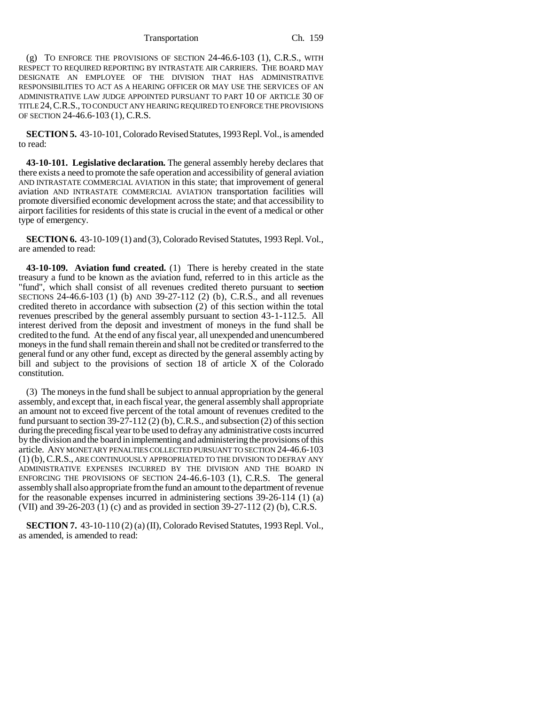#### Transportation Ch. 159

(g) TO ENFORCE THE PROVISIONS OF SECTION 24-46.6-103 (1), C.R.S., WITH RESPECT TO REQUIRED REPORTING BY INTRASTATE AIR CARRIERS. THE BOARD MAY DESIGNATE AN EMPLOYEE OF THE DIVISION THAT HAS ADMINISTRATIVE RESPONSIBILITIES TO ACT AS A HEARING OFFICER OR MAY USE THE SERVICES OF AN ADMINISTRATIVE LAW JUDGE APPOINTED PURSUANT TO PART 10 OF ARTICLE 30 OF TITLE 24,C.R.S., TO CONDUCT ANY HEARING REQUIRED TO ENFORCE THE PROVISIONS OF SECTION 24-46.6-103 (1), C.R.S.

**SECTION 5.** 43-10-101, Colorado Revised Statutes, 1993 Repl. Vol., is amended to read:

**43-10-101. Legislative declaration.** The general assembly hereby declares that there exists a need to promote the safe operation and accessibility of general aviation AND INTRASTATE COMMERCIAL AVIATION in this state; that improvement of general aviation AND INTRASTATE COMMERCIAL AVIATION transportation facilities will promote diversified economic development across the state; and that accessibility to airport facilities for residents of this state is crucial in the event of a medical or other type of emergency.

**SECTION 6.** 43-10-109 (1) and (3), Colorado Revised Statutes, 1993 Repl. Vol., are amended to read:

**43-10-109. Aviation fund created.** (1) There is hereby created in the state treasury a fund to be known as the aviation fund, referred to in this article as the "fund", which shall consist of all revenues credited thereto pursuant to section SECTIONS 24-46.6-103 (1) (b) AND 39-27-112 (2) (b), C.R.S., and all revenues credited thereto in accordance with subsection (2) of this section within the total revenues prescribed by the general assembly pursuant to section 43-1-112.5. All interest derived from the deposit and investment of moneys in the fund shall be credited to the fund. At the end of any fiscal year, all unexpended and unencumbered moneys in the fund shall remain therein and shall not be credited or transferred to the general fund or any other fund, except as directed by the general assembly acting by bill and subject to the provisions of section 18 of article X of the Colorado constitution.

(3) The moneys in the fund shall be subject to annual appropriation by the general assembly, and except that, in each fiscal year, the general assembly shall appropriate an amount not to exceed five percent of the total amount of revenues credited to the fund pursuant to section  $39-27-112$  (2) (b), C.R.S., and subsection (2) of this section during the preceding fiscal year to be used to defray any administrative costs incurred by the division and the board in implementing and administering the provisions of this article. ANY MONETARY PENALTIES COLLECTED PURSUANT TO SECTION 24-46.6-103 (1) (b), C.R.S., ARE CONTINUOUSLY APPROPRIATED TO THE DIVISION TO DEFRAY ANY ADMINISTRATIVE EXPENSES INCURRED BY THE DIVISION AND THE BOARD IN ENFORCING THE PROVISIONS OF SECTION 24-46.6-103 (1), C.R.S. The general assembly shall also appropriate from the fund an amount to the department of revenue for the reasonable expenses incurred in administering sections 39-26-114 (1) (a) (VII) and 39-26-203 (1) (c) and as provided in section 39-27-112 (2) (b), C.R.S.

**SECTION 7.** 43-10-110 (2) (a) (II), Colorado Revised Statutes, 1993 Repl. Vol., as amended, is amended to read: